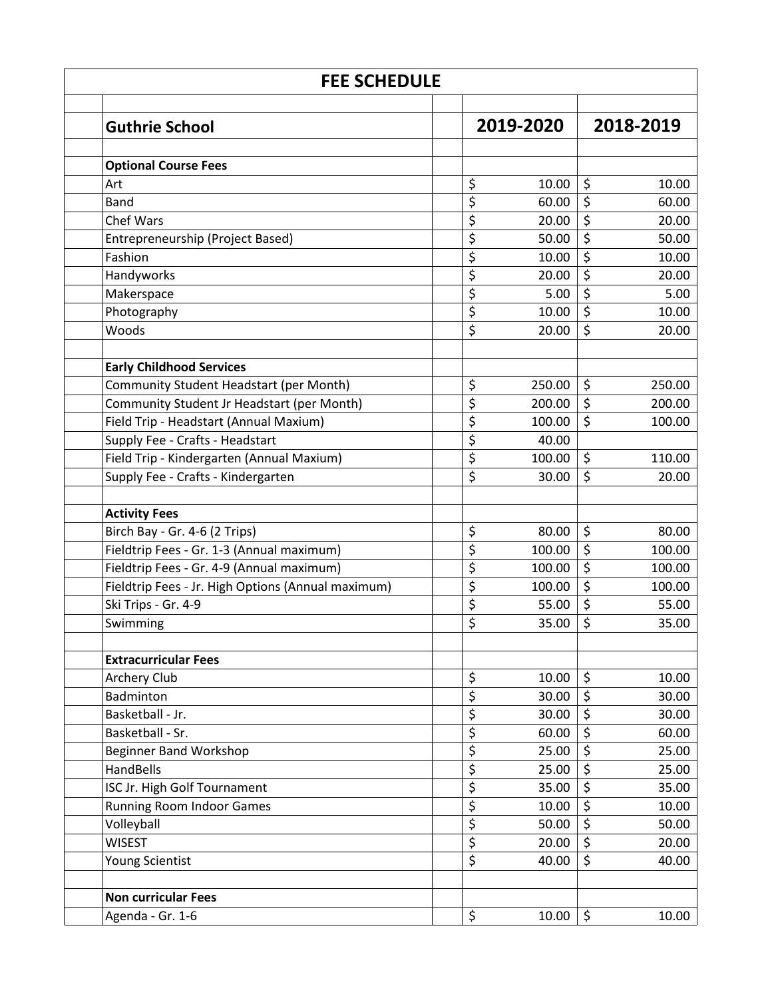| <b>FEE SCHEDULE</b>                                |                  |        |           |        |  |  |  |
|----------------------------------------------------|------------------|--------|-----------|--------|--|--|--|
| <b>Guthrie School</b>                              | 2019-2020        |        | 2018-2019 |        |  |  |  |
| <b>Optional Course Fees</b>                        |                  |        |           |        |  |  |  |
| Art                                                | \$               | 10.00  | \$        | 10.00  |  |  |  |
| <b>Band</b>                                        | \$               | 60.00  | \$        | 60.00  |  |  |  |
| <b>Chef Wars</b>                                   | \$               | 20.00  | \$        | 20.00  |  |  |  |
| Entrepreneurship (Project Based)                   | \$               | 50.00  | \$        | 50.00  |  |  |  |
| Fashion                                            | \$               | 10.00  | \$        | 10.00  |  |  |  |
| Handyworks                                         | \$               | 20.00  | \$        | 20.00  |  |  |  |
| Makerspace                                         | \$               | 5.00   | \$        | 5.00   |  |  |  |
| Photography                                        | \$               | 10.00  | \$        | 10.00  |  |  |  |
| Woods                                              | \$               | 20.00  | \$        | 20.00  |  |  |  |
| <b>Early Childhood Services</b>                    |                  |        |           |        |  |  |  |
| Community Student Headstart (per Month)            | \$               | 250.00 | \$        | 250.00 |  |  |  |
| Community Student Jr Headstart (per Month)         | \$               | 200.00 | \$        | 200.00 |  |  |  |
| Field Trip - Headstart (Annual Maxium)             | \$               | 100.00 | $\zeta$   | 100.00 |  |  |  |
| Supply Fee - Crafts - Headstart                    | \$               | 40.00  |           |        |  |  |  |
| Field Trip - Kindergarten (Annual Maxium)          | \$               | 100.00 | \$        | 110.00 |  |  |  |
| Supply Fee - Crafts - Kindergarten                 | \$               | 30.00  | \$        | 20.00  |  |  |  |
| <b>Activity Fees</b>                               |                  |        |           |        |  |  |  |
| Birch Bay - Gr. 4-6 (2 Trips)                      | \$               | 80.00  | \$        | 80.00  |  |  |  |
| Fieldtrip Fees - Gr. 1-3 (Annual maximum)          | \$               | 100.00 | \$        | 100.00 |  |  |  |
| Fieldtrip Fees - Gr. 4-9 (Annual maximum)          | \$               | 100.00 | \$        | 100.00 |  |  |  |
| Fieldtrip Fees - Jr. High Options (Annual maximum) | \$               | 100.00 | \$        | 100.00 |  |  |  |
| Ski Trips - Gr. 4-9                                | \$               | 55.00  | \$        | 55.00  |  |  |  |
| Swimming                                           | \$               | 35.00  | \$        | 35.00  |  |  |  |
| <b>Extracurricular Fees</b>                        |                  |        |           |        |  |  |  |
| Archery Club                                       | \$               | 10.00  | \$        | 10.00  |  |  |  |
| Badminton                                          | \$               | 30.00  | \$        | 30.00  |  |  |  |
| Basketball - Jr.                                   | \$               | 30.00  | \$        | 30.00  |  |  |  |
| Basketball - Sr.                                   | \$               | 60.00  | \$        | 60.00  |  |  |  |
| <b>Beginner Band Workshop</b>                      | \$               | 25.00  | \$        | 25.00  |  |  |  |
| HandBells                                          | $\overline{\xi}$ | 25.00  | \$        | 25.00  |  |  |  |
| ISC Jr. High Golf Tournament                       | \$               | 35.00  | \$        | 35.00  |  |  |  |
| <b>Running Room Indoor Games</b>                   | \$               | 10.00  | \$        | 10.00  |  |  |  |
| Volleyball                                         | \$               | 50.00  | \$        | 50.00  |  |  |  |
| <b>WISEST</b>                                      | $\overline{\xi}$ | 20.00  | \$        | 20.00  |  |  |  |
| <b>Young Scientist</b>                             | \$               | 40.00  | \$        | 40.00  |  |  |  |
| <b>Non curricular Fees</b>                         |                  |        |           |        |  |  |  |
| Agenda - Gr. 1-6                                   | \$               | 10.00  | \$        | 10.00  |  |  |  |